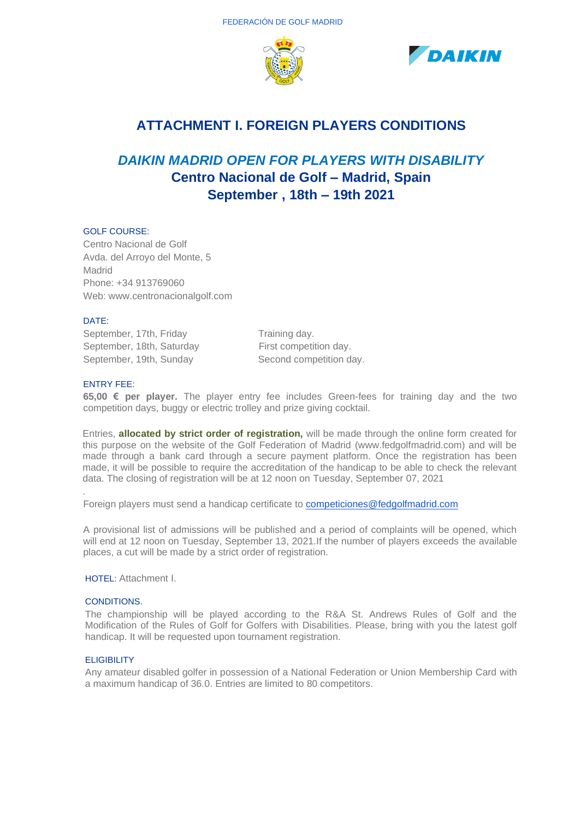



## **ATTACHMENT I. FOREIGN PLAYERS CONDITIONS**

# *DAIKIN MADRID OPEN FOR PLAYERS WITH DISABILITY* **Centro Nacional de Golf – Madrid, Spain September , 18th – 19th 2021**

## GOLF COURSE:

Centro Nacional de Golf Avda. del Arroyo del Monte, 5 Madrid Phone: +34 913769060 Web: www.centronacionalgolf.com

### DATE:

September, 17th, Friday Training day. September, 18th, Saturday First competition day. September, 19th, Sunday Second competition day.

### ENTRY FEE:

.

**65,00 € per player.** The player entry fee includes Green-fees for training day and the two competition days, buggy or electric trolley and prize giving cocktail.

Entries, **allocated by strict order of registration,** will be made through the online form created for this purpose on the website of the Golf Federation of Madrid (www.fedgolfmadrid.com) and will be made through a bank card through a secure payment platform. Once the registration has been made, it will be possible to require the accreditation of the handicap to be able to check the relevant data. The closing of registration will be at 12 noon on Tuesday, September 07, 2021

Foreign players must send a handicap certificate to [competiciones@fedgolfmadrid.com](mailto:competiciones@fedgolfmadrid.com)

A provisional list of admissions will be published and a period of complaints will be opened, which will end at 12 noon on Tuesday, September 13, 2021.If the number of players exceeds the available places, a cut will be made by a strict order of registration.

HOTEL: Attachment I.

### CONDITIONS.

The championship will be played according to the R&A St. Andrews Rules of Golf and the Modification of the Rules of Golf for Golfers with Disabilities. Please, bring with you the latest golf handicap. It will be requested upon tournament registration.

### **ELIGIBILITY**

Any amateur disabled golfer in possession of a National Federation or Union Membership Card with a maximum handicap of 36.0. Entries are limited to 80 competitors.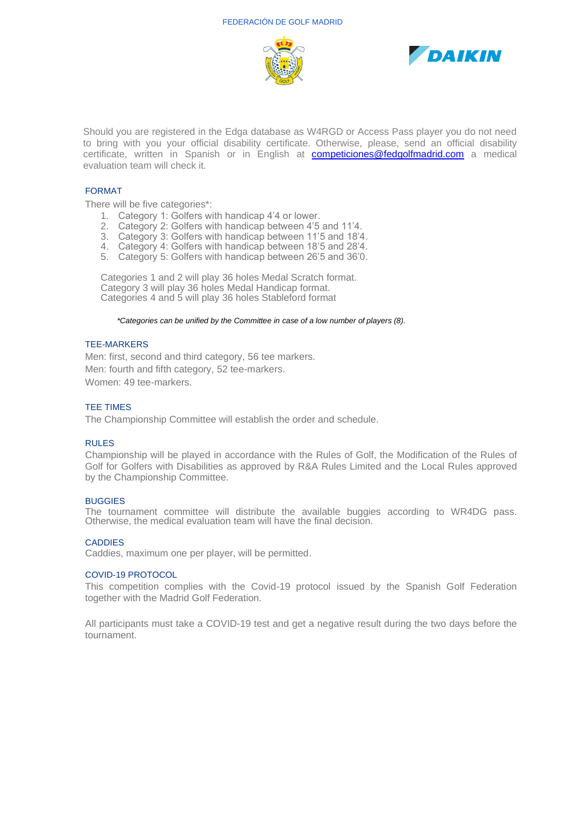



Should you are registered in the Edga database as W4RGD or Access Pass player you do not need to bring with you your official disability certificate. Otherwise, please, send an official disability certificate, written in Spanish or in English at **[competiciones@fedgolfmadrid.com](mailto:competiciones@fedgolfmadrid.com)** a medical evaluation team will check it.

### FORMAT

There will be five categories\*:

- 1. Category 1: Golfers with handicap 4'4 or lower.
- 2. Category 2: Golfers with handicap between 4'5 and 11'4.
- 3. Category 3: Golfers with handicap between 11'5 and 18'4.
- 4. Category 4: Golfers with handicap between 18'5 and 28'4.
- 5. Category 5: Golfers with handicap between 26'5 and 36'0.

Categories 1 and 2 will play 36 holes Medal Scratch format. Category 3 will play 36 holes Medal Handicap format. Categories 4 and 5 will play 36 holes Stableford format

*\*Categories can be unified by the Committee in case of a low number of players (8).*

### TEE-MARKERS

Men: first, second and third category, 56 tee markers. Men: fourth and fifth category, 52 tee-markers. Women: 49 tee-markers.

#### TEE TIMES

The Championship Committee will establish the order and schedule.

### RULES

Championship will be played in accordance with the Rules of Golf, the Modification of the Rules of Golf for Golfers with Disabilities as approved by R&A Rules Limited and the Local Rules approved by the Championship Committee.

#### **BUGGIES**

The tournament committee will distribute the available buggies according to WR4DG pass. Otherwise, the medical evaluation team will have the final decision.

### **CADDIES**

Caddies, maximum one per player, will be permitted.

#### COVID-19 PROTOCOL

This competition complies with the Covid-19 protocol issued by the Spanish Golf Federation together with the Madrid Golf Federation.

All participants must take a COVID-19 test and get a negative result during the two days before the tournament.